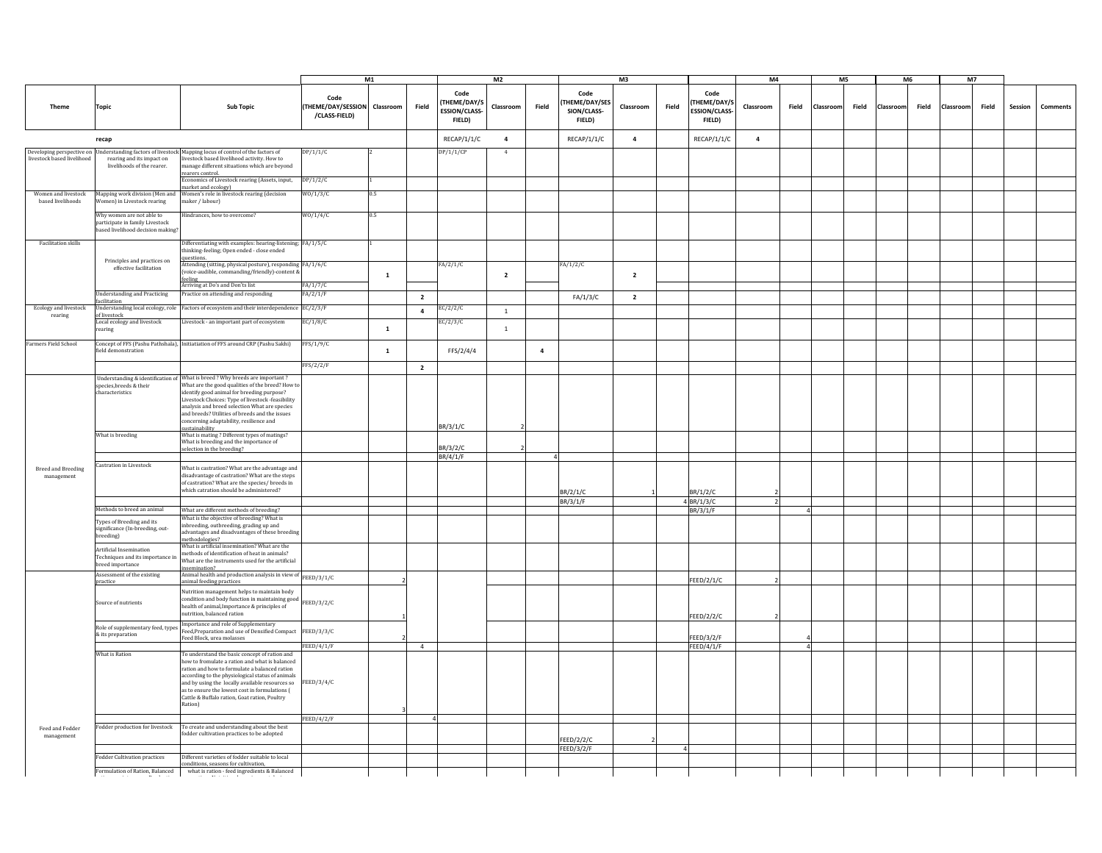|                                          |                                                                                                |                                                                                                                                                                                                                                                                                                                                                                       |                                                       | M1           |                |                                                        | M <sub>2</sub> |          |                                                | M <sup>3</sup> |       |                                                       | M <sub>4</sub> |          |           | M <sub>5</sub> | M6        |       | <b>M7</b> |       |         |          |
|------------------------------------------|------------------------------------------------------------------------------------------------|-----------------------------------------------------------------------------------------------------------------------------------------------------------------------------------------------------------------------------------------------------------------------------------------------------------------------------------------------------------------------|-------------------------------------------------------|--------------|----------------|--------------------------------------------------------|----------------|----------|------------------------------------------------|----------------|-------|-------------------------------------------------------|----------------|----------|-----------|----------------|-----------|-------|-----------|-------|---------|----------|
| <b>Theme</b>                             | <b>Topic</b>                                                                                   | <b>Sub Topic</b>                                                                                                                                                                                                                                                                                                                                                      | Code<br>(THEME/DAY/SESSION Classroom<br>/CLASS-FIELD) |              | Field          | Code<br>(THEME/DAY/S<br><b>ESSION/CLASS-</b><br>FIELD) | Classroom      | Field    | Code<br>THEME/DAY/SES<br>SION/CLASS-<br>FIELD) | Classroom      | Field | Code<br>THEME/DAY/S<br><b>ESSION/CLASS-</b><br>FIELD) | Classroom      | Field    | Classroom | Field          | Classroom | Field | Classroom | Field | Session | Comments |
|                                          | recap                                                                                          |                                                                                                                                                                                                                                                                                                                                                                       |                                                       |              |                | RECAP/1/1/C                                            | $\overline{a}$ |          | RECAP/1/1/C                                    | $\overline{a}$ |       | RECAP/1/1/C                                           | $\overline{a}$ |          |           |                |           |       |           |       |         |          |
| livestock based livelihood               | rearing and its impact on<br>livelihoods of the rearer.                                        | Developing perspective on Understanding factors of livestock Mapping locus of control of the factors of<br>vestock based livelihood activity. How to<br>anage different situations which are beyond<br>rearers control.                                                                                                                                               | DP/1/1/C                                              |              |                | DP/1/1/CP                                              | $\overline{4}$ |          |                                                |                |       |                                                       |                |          |           |                |           |       |           |       |         |          |
|                                          |                                                                                                | nomics of Livestock rearing (Assets, input,<br>narket and ecology)                                                                                                                                                                                                                                                                                                    | DP/1/2/C                                              |              |                |                                                        |                |          |                                                |                |       |                                                       |                |          |           |                |           |       |           |       |         |          |
| Women and livestock<br>based livelihoods | Mapping work division (Men and<br>Women) in Livestock rearing                                  | Women's role in livestock rearing (decision<br>maker / labour)                                                                                                                                                                                                                                                                                                        | W0/1/3/C                                              | 05           |                |                                                        |                |          |                                                |                |       |                                                       |                |          |           |                |           |       |           |       |         |          |
|                                          | Why women are not able to<br>articipate in family Livestock<br>ased livelihood decision making | lindrances, how to overcome?                                                                                                                                                                                                                                                                                                                                          | W0/1/4/C                                              | 0.5          |                |                                                        |                |          |                                                |                |       |                                                       |                |          |           |                |           |       |           |       |         |          |
| Facilitation skills                      |                                                                                                | Differentiating with examples: hearing-listening; FA/1/5/C<br>hinking-feeling; Open ended - close ended<br>questions.                                                                                                                                                                                                                                                 |                                                       |              |                |                                                        |                |          |                                                |                |       |                                                       |                |          |           |                |           |       |           |       |         |          |
|                                          | Principles and practices on<br>effective facilitation                                          | Attending (sitting, physical posture), responding FA/1/6/C<br>voice-audible, commanding/friendly)-content &<br>feeling                                                                                                                                                                                                                                                |                                                       | $\mathbf{1}$ |                | FA/2/1/C                                               | $\overline{2}$ |          | FA/1/2/C                                       | $\overline{2}$ |       |                                                       |                |          |           |                |           |       |           |       |         |          |
|                                          |                                                                                                | Arriving at Do's and Don'ts list                                                                                                                                                                                                                                                                                                                                      | FA/1/7/C                                              |              |                |                                                        |                |          |                                                |                |       |                                                       |                |          |           |                |           |       |           |       |         |          |
|                                          | <b>Jnderstanding and Practicing</b><br>acilitation                                             | ractice on attending and responding                                                                                                                                                                                                                                                                                                                                   | FA/2/1/F                                              |              | $\overline{2}$ |                                                        |                |          | FA/1/3/C                                       | $\overline{2}$ |       |                                                       |                |          |           |                |           |       |           |       |         |          |
| Ecology and livestock<br>rearing         | Inderstanding local ecology, role<br>of livestock                                              | actors of ecosystem and their interdependenc                                                                                                                                                                                                                                                                                                                          | EC/2/3/F                                              |              | $\overline{a}$ | EC/2/2/C                                               | $\mathbf{1}$   |          |                                                |                |       |                                                       |                |          |           |                |           |       |           |       |         |          |
|                                          | Local ecology and livestock<br>earing                                                          | ivestock - an important part of ecosystem                                                                                                                                                                                                                                                                                                                             | EC/1/8/C                                              | $\mathbf{1}$ |                | EC/2/3/C                                               | $\mathbf{1}$   |          |                                                |                |       |                                                       |                |          |           |                |           |       |           |       |         |          |
| Farmers Field School                     | ield demonstration                                                                             | Concept of FFS (Pashu Pathshala), Initiatiation of FFS around CRP (Pashu Sakhi)                                                                                                                                                                                                                                                                                       | FFS/1/9/C                                             | $\mathbf 1$  |                | FFS/2/4/4                                              |                | $\bf{4}$ |                                                |                |       |                                                       |                |          |           |                |           |       |           |       |         |          |
|                                          |                                                                                                | Understanding & identification of What is breed ? Why breeds are important ?                                                                                                                                                                                                                                                                                          | FFS/2/2/F                                             |              | $\overline{2}$ |                                                        |                |          |                                                |                |       |                                                       |                |          |           |                |           |       |           |       |         |          |
|                                          | species, breeds & their<br>characteristics                                                     | What are the good qualities of the breed? How to<br>identify good animal for breeding purpose?<br>Livestock Choices: Type of livestock -feasibility<br>analysis and breed selection What are species<br>and breeds? Utilities of breeds and the issues<br>oncerning adaptability, resilience and<br>ustainability                                                     |                                                       |              |                | BR/3/1/C                                               |                |          |                                                |                |       |                                                       |                |          |           |                |           |       |           |       |         |          |
|                                          | What is breeding                                                                               | What is mating? Different types of matings?<br>What is breeding and the importance of<br>election in the breeding?                                                                                                                                                                                                                                                    |                                                       |              |                | BR/3/2/C                                               |                |          |                                                |                |       |                                                       |                |          |           |                |           |       |           |       |         |          |
|                                          |                                                                                                |                                                                                                                                                                                                                                                                                                                                                                       |                                                       |              |                | BR/4/1/F                                               |                |          |                                                |                |       |                                                       |                |          |           |                |           |       |           |       |         |          |
| <b>Breed and Breeding</b><br>management  | Castration in Livestock                                                                        | What is castration? What are the advantage and<br>disadvantage of castration? What are the steps<br>of castration? What are the species/ breeds in<br>which catration should be administered?                                                                                                                                                                         |                                                       |              |                |                                                        |                |          | BR/2/1/C                                       |                |       | BR/1/2/C                                              |                |          |           |                |           |       |           |       |         |          |
|                                          |                                                                                                |                                                                                                                                                                                                                                                                                                                                                                       |                                                       |              |                |                                                        |                |          | BR/3/1/F                                       |                |       | 4 BR/1/3/C                                            | $\overline{z}$ |          |           |                |           |       |           |       |         |          |
|                                          | Methods to breed an animal                                                                     | What are different methods of breeding?                                                                                                                                                                                                                                                                                                                               |                                                       |              |                |                                                        |                |          |                                                |                |       | BR/3/1/F                                              |                | $\Delta$ |           |                |           |       |           |       |         |          |
|                                          | Types of Breeding and its<br>significance (In-breeding, out-<br>breeding)                      | What is the objective of breeding? What is<br>abreeding, outbreeding, grading up and<br>dvantages and disadvantages of these breeding<br>ethodologies?                                                                                                                                                                                                                |                                                       |              |                |                                                        |                |          |                                                |                |       |                                                       |                |          |           |                |           |       |           |       |         |          |
|                                          | Artificial Insemination<br>Techniques and its importance in<br>breed importance                | What is artificial insemination? What are the<br>nethods of identification of heat in animals?<br>What are the instruments used for the artificial<br>semination?                                                                                                                                                                                                     |                                                       |              |                |                                                        |                |          |                                                |                |       |                                                       |                |          |           |                |           |       |           |       |         |          |
|                                          | Assessment of the existing<br>practice                                                         | nsemination:<br>Animal health and production analysis in view of $\left _{\rm{FEED}/3/1/C}\right $<br>imal feeding practices                                                                                                                                                                                                                                          |                                                       |              |                |                                                        |                |          |                                                |                |       | <b>FEED/2/1/C</b>                                     |                |          |           |                |           |       |           |       |         |          |
|                                          | Source of nutrients                                                                            | Nutrition management helps to maintain body<br>ondition and body function in maintaining good<br>health of animal, Importance & principles of<br>utrition, balanced ration                                                                                                                                                                                            | FEED/3/2/C                                            |              |                |                                                        |                |          |                                                |                |       | FEED/2/2/C                                            |                |          |           |                |           |       |           |       |         |          |
|                                          | Role of supplementary feed, types<br>& its preparation                                         | mportance and role of Supplementary<br>Feed.Preparation and use of Densified Compact<br>eed Block, urea molasses                                                                                                                                                                                                                                                      | FEED/3/3/C                                            |              |                |                                                        |                |          |                                                |                |       | FEED/3/2/F                                            |                |          |           |                |           |       |           |       |         |          |
|                                          |                                                                                                |                                                                                                                                                                                                                                                                                                                                                                       | FEED/4/1/F                                            |              | $\overline{4}$ |                                                        |                |          |                                                |                |       | FEED/4/1/F                                            |                | $\Delta$ |           |                |           |       |           |       |         |          |
|                                          | <b>What is Ration</b>                                                                          | To understand the basic concept of ration and<br>how to fromulate a ration and what is balanced<br>ration and how to formulate a balanced ration<br>according to the physiological status of animals<br>and by using the locally available resources so<br>as to ensure the lowest cost in formulations (<br>Cattle & Buffalo ration, Goat ration, Poultry<br>Ration) | FEED/3/4/C                                            |              |                |                                                        |                |          |                                                |                |       |                                                       |                |          |           |                |           |       |           |       |         |          |
|                                          |                                                                                                |                                                                                                                                                                                                                                                                                                                                                                       | FEED/4/2/F                                            |              | $\Delta$       |                                                        |                |          |                                                |                |       |                                                       |                |          |           |                |           |       |           |       |         |          |
| Feed and Fodder<br>management            | odder production for livestock                                                                 | To create and understanding about the best<br>odder cultivation practices to be adopted                                                                                                                                                                                                                                                                               |                                                       |              |                |                                                        |                |          | EED/2/2/C                                      |                |       |                                                       |                |          |           |                |           |       |           |       |         |          |
|                                          | <b>Fodder Cultivation practices</b>                                                            | Different varieties of fodder suitable to local                                                                                                                                                                                                                                                                                                                       |                                                       |              |                |                                                        |                |          | FEED/3/2/F                                     |                | 4     |                                                       |                |          |           |                |           |       |           |       |         |          |
|                                          | Formulation of Ration, Balanced                                                                | onditions, seasons for cultivation,<br>what is ration - feed ingredients & Balanced                                                                                                                                                                                                                                                                                   |                                                       |              |                |                                                        |                |          |                                                |                |       |                                                       |                |          |           |                |           |       |           |       |         |          |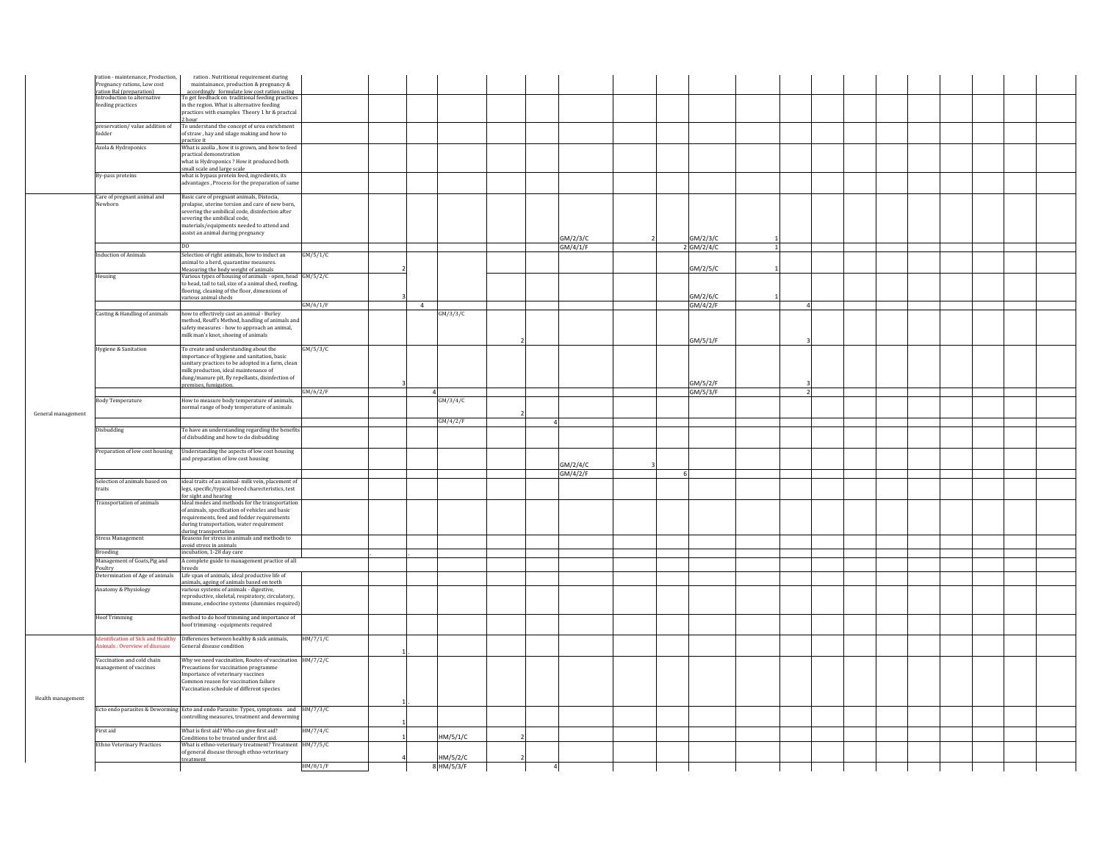|                    | ration - maintenance, Production,<br>Pregnancy rations, Low cost | ration . Nutritional requirement during<br>maintainance, production & pregnancy &                        |          |                |                        |                |          |            |                |  |  |  |
|--------------------|------------------------------------------------------------------|----------------------------------------------------------------------------------------------------------|----------|----------------|------------------------|----------------|----------|------------|----------------|--|--|--|
|                    | ration Bal (preparation)                                         | accordingly formulate low cost ration using                                                              |          |                |                        |                |          |            |                |  |  |  |
|                    | Introduction to alternative                                      | To get feedback on traditional feeding practices                                                         |          |                |                        |                |          |            |                |  |  |  |
|                    | feeding practices                                                | in the region. What is alternative feeding<br>practices with examples Theory 1 hr & practcal             |          |                |                        |                |          |            |                |  |  |  |
|                    |                                                                  | 2 hour                                                                                                   |          |                |                        |                |          |            |                |  |  |  |
|                    | preservation/value addition of<br>fodder                         | To understand the concept of urea enrichment<br>of straw , hay and silage making and how to              |          |                |                        |                |          |            |                |  |  |  |
|                    |                                                                  | practice it                                                                                              |          |                |                        |                |          |            |                |  |  |  |
|                    | Azola & Hydroponics                                              | What is azolla, how it is grown, and how to feed                                                         |          |                |                        |                |          |            |                |  |  |  |
|                    |                                                                  | practical demonstration<br>what is Hydroponics? How it produced both                                     |          |                |                        |                |          |            |                |  |  |  |
|                    |                                                                  | small scale and large scale                                                                              |          |                |                        |                |          |            |                |  |  |  |
|                    | By-pass proteins                                                 | what is bypass protein feed, ingredients, its                                                            |          |                |                        |                |          |            |                |  |  |  |
|                    |                                                                  | advantages, Process for the preparation of same                                                          |          |                |                        |                |          |            |                |  |  |  |
|                    | Care of pregnant animal and                                      | Basic care of pregnant animals, Distocia,                                                                |          |                |                        |                |          |            |                |  |  |  |
|                    | Newborn                                                          | prolapse, uterine torsion and care of new born,                                                          |          |                |                        |                |          |            |                |  |  |  |
|                    |                                                                  | severing the umbilical code, disinfection after<br>severing the umbilical code,                          |          |                |                        |                |          |            |                |  |  |  |
|                    |                                                                  | materials/equipments needed to attend and                                                                |          |                |                        |                |          |            |                |  |  |  |
|                    |                                                                  | assist an animal during pregnancy                                                                        |          |                |                        |                | GM/2/3/C | GM/2/3/C   |                |  |  |  |
|                    |                                                                  | D <sub>O</sub>                                                                                           |          |                |                        |                | GM/4/1/F | 2 GM/2/4/C |                |  |  |  |
|                    | <b>Induction of Animals</b>                                      | Selection of right animals, how to induct an                                                             | GM/5/1/C |                |                        |                |          |            |                |  |  |  |
|                    |                                                                  | animal to a herd, quarantine measures.                                                                   |          |                |                        |                |          | GM/2/5/C   |                |  |  |  |
|                    | Housing                                                          | Measuring the body weight of animals<br>Various types of housing of animals - open, head GM/5/2/C        |          |                |                        |                |          |            |                |  |  |  |
|                    |                                                                  | to head, tail to tail, size of a animal shed, roofing,                                                   |          |                |                        |                |          |            |                |  |  |  |
|                    |                                                                  | flooring, cleaning of the floor, dimensions of                                                           |          |                |                        |                |          | GM/2/6/C   |                |  |  |  |
|                    |                                                                  | various animal sheds                                                                                     | GM/6/1/F | $\overline{4}$ |                        |                |          | GM/4/2/F   | $\overline{a}$ |  |  |  |
|                    | Casting & Handling of animals                                    | how to effectively cast an animal - Burley                                                               |          |                | GM/3/3/C               |                |          |            |                |  |  |  |
|                    |                                                                  | method, Reuff's Method, handling of animals and                                                          |          |                |                        |                |          |            |                |  |  |  |
|                    |                                                                  | safety measures - how to approach an animal,<br>milk man's knot, shoeing of animals                      |          |                |                        |                |          |            |                |  |  |  |
|                    |                                                                  |                                                                                                          |          |                |                        |                |          | GM/5/1/F   |                |  |  |  |
|                    | Hygiene & Sanitation                                             | To create and understanding about the                                                                    | GM/5/3/C |                |                        |                |          |            |                |  |  |  |
|                    |                                                                  | importance of hygiene and sanitation, basic<br>sanitary practices to be adopted in a farm, clean         |          |                |                        |                |          |            |                |  |  |  |
|                    |                                                                  | milk production, ideal maintenance of                                                                    |          |                |                        |                |          |            |                |  |  |  |
|                    |                                                                  | dung/manure pit, fly repellants, disinfection of                                                         |          |                |                        |                |          | GM/5/2/F   |                |  |  |  |
|                    |                                                                  | premises, fumigation                                                                                     | GM/6/2/F |                |                        |                |          | GM/5/3/F   | $\overline{2}$ |  |  |  |
|                    | <b>Body Temperature</b>                                          | How to measure body temperature of animals,                                                              |          |                | GM/3/4/C               |                |          |            |                |  |  |  |
| General management |                                                                  | normal range of body temperature of animals                                                              |          |                |                        |                |          |            |                |  |  |  |
|                    |                                                                  |                                                                                                          |          |                | GM/4/2/F               |                |          |            |                |  |  |  |
|                    | Disbudding                                                       | To have an understanding regarding the benefits                                                          |          |                |                        |                |          |            |                |  |  |  |
|                    |                                                                  | of disbudding and how to do disbudding                                                                   |          |                |                        |                |          |            |                |  |  |  |
|                    |                                                                  | Preparation of low cost housing Understanding the aspects of low cost housing                            |          |                |                        |                |          |            |                |  |  |  |
|                    |                                                                  | and preparation of low cost housing                                                                      |          |                |                        |                |          |            |                |  |  |  |
|                    |                                                                  |                                                                                                          |          |                |                        |                | GM/2/4/C |            |                |  |  |  |
|                    |                                                                  |                                                                                                          |          |                |                        |                | GM/4/2/F |            |                |  |  |  |
|                    | Selection of animals based on<br>traits                          | ideal traits of an animal- milk vein, placement of<br>legs, specific/typical breed charecteristics, test |          |                |                        |                |          |            |                |  |  |  |
|                    |                                                                  | for sight and hearing                                                                                    |          |                |                        |                |          |            |                |  |  |  |
|                    | <b>Transportation of animals</b>                                 | Ideal modes and methods for the transportation                                                           |          |                |                        |                |          |            |                |  |  |  |
|                    |                                                                  |                                                                                                          |          |                |                        |                |          |            |                |  |  |  |
|                    |                                                                  | of animals, specification of vehicles and basic                                                          |          |                |                        |                |          |            |                |  |  |  |
|                    |                                                                  | requirements, feed and fodder requirements<br>during transportation, water requirement                   |          |                |                        |                |          |            |                |  |  |  |
|                    |                                                                  | during transportation                                                                                    |          |                |                        |                |          |            |                |  |  |  |
|                    | <b>Stress Management</b>                                         | Reasons for stress in animals and methods to                                                             |          |                |                        |                |          |            |                |  |  |  |
|                    | <b>Brooding</b>                                                  | avoid stress in animals<br>incubation. 1-28 day care                                                     |          |                |                        |                |          |            |                |  |  |  |
|                    | Management of Goats, Pig and                                     | A complete guide to management practice of all                                                           |          |                |                        |                |          |            |                |  |  |  |
|                    | Poultry<br>Determination of Age of animals                       | breeds<br>Life span of animals, ideal productive life of                                                 |          |                |                        |                |          |            |                |  |  |  |
|                    |                                                                  | animals, ageing of animals based on teeth                                                                |          |                |                        |                |          |            |                |  |  |  |
|                    | Anatomy & Physiology                                             | various systems of animals - digestive,                                                                  |          |                |                        |                |          |            |                |  |  |  |
|                    |                                                                  | reproductive, skeletal, respiratory, circulatory,                                                        |          |                |                        |                |          |            |                |  |  |  |
|                    |                                                                  | nmune, endocrine systems (dummies required)                                                              |          |                |                        |                |          |            |                |  |  |  |
|                    | <b>Hoof Trimming</b>                                             | method to do hoof trimming and importance of                                                             |          |                |                        |                |          |            |                |  |  |  |
|                    |                                                                  | hoof trimming - equipments required                                                                      |          |                |                        |                |          |            |                |  |  |  |
|                    |                                                                  | lentification of Sick and Healthy Differences between healthy & sick animals,                            | HM/7/1/C |                |                        |                |          |            |                |  |  |  |
|                    | iimals: Overview of disesase                                     | General disease condition                                                                                |          |                |                        |                |          |            |                |  |  |  |
|                    | Vaccination and cold chain                                       | Why we need vaccination, Routes of vaccination HM/7/2/C                                                  |          |                |                        |                |          |            |                |  |  |  |
|                    | management of vaccines                                           | Precautions for vaccination programme                                                                    |          |                |                        |                |          |            |                |  |  |  |
|                    |                                                                  | Importance of veterinary vaccines                                                                        |          |                |                        |                |          |            |                |  |  |  |
|                    |                                                                  | Common reason for vaccination failure<br>Vaccination schedule of different species                       |          |                |                        |                |          |            |                |  |  |  |
|                    |                                                                  |                                                                                                          |          |                |                        |                |          |            |                |  |  |  |
|                    |                                                                  | Ecto endo parasites & Deworming Ecto and endo Parasite: Types, symptoms and HM/7/3/C                     |          |                |                        |                |          |            |                |  |  |  |
| Health management  |                                                                  | controlling measures, treatment and deworming                                                            |          |                |                        |                |          |            |                |  |  |  |
|                    |                                                                  |                                                                                                          |          |                |                        |                |          |            |                |  |  |  |
|                    | First aid                                                        | What is first aid? Who can give first aid?<br>Conditions to be treated under first aid.                  | HM/7/4/C |                | HM/5/1/C               |                |          |            |                |  |  |  |
|                    | Ethno Veterinary Practices                                       | What is ethno-veterinary treatment? Treatment HM/7/5/C                                                   |          |                |                        |                |          |            |                |  |  |  |
|                    |                                                                  | of general disease through ethno-veterinary<br>treatment                                                 | HM/8/1/F |                | HM/5/2/C<br>8 HM/5/3/F | $\overline{4}$ |          |            |                |  |  |  |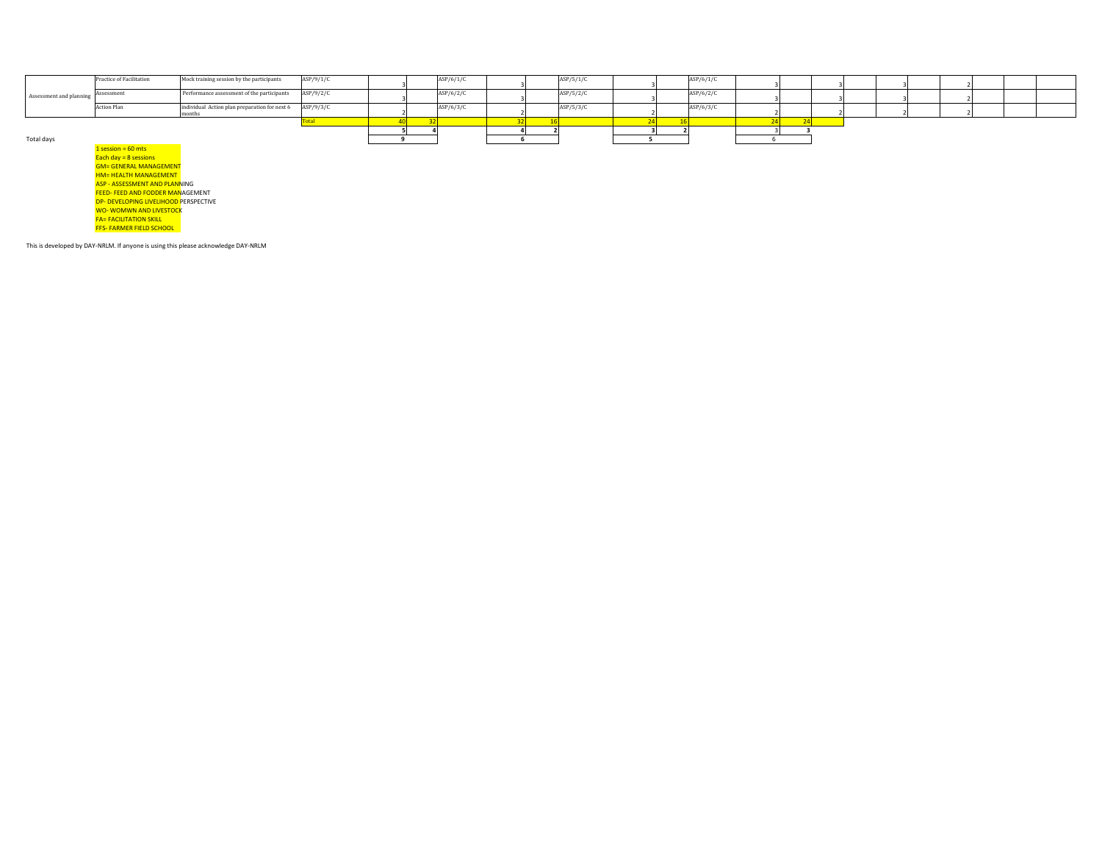|                         | Practice of Facilitation | Mock training session by the participants               | ASP/9/1/C |  | ASP/6/1/C |  | ASP/5/1/C | ASP/6/1/C |  |  |  |  |
|-------------------------|--------------------------|---------------------------------------------------------|-----------|--|-----------|--|-----------|-----------|--|--|--|--|
| Assessment and planning | Assessment               | Performance assessment of the participants              | ASP/9/2/C |  | ASP/6/2/C |  | ASP/5/2/C | ASP/6/2/C |  |  |  |  |
|                         | Action Plan              | individual Action plan preparation for next 6 ASP/9/3/C |           |  | ASP/6/3/C |  | ASP/5/3/C | ASP/6/3/C |  |  |  |  |
|                         |                          |                                                         |           |  |           |  |           |           |  |  |  |  |
|                         |                          |                                                         |           |  |           |  |           |           |  |  |  |  |
|                         |                          |                                                         |           |  |           |  |           |           |  |  |  |  |
| Total days              |                          |                                                         |           |  |           |  |           |           |  |  |  |  |

 $1$  session = 60 mts Each day = 8 sessions<br>GM= GENERAL MANAGEMENT <mark>HM= HEALTH MANAGEMENT</mark><br><mark>ASP - ASSESSMENT AND PLANN</mark>ING FEED- FEED AND FODDER MANAGEMENT DP- DEVELOPING LIVELIHOOD PERSPECTIVE WO- WOMWN AND LIVESTOCK<br>FA= FACILITATION SKILL FFS- FARMER FIELD SCHOOL

This is developed by DAY-NRLM. If anyone is using this please acknowledge DAY-NRLM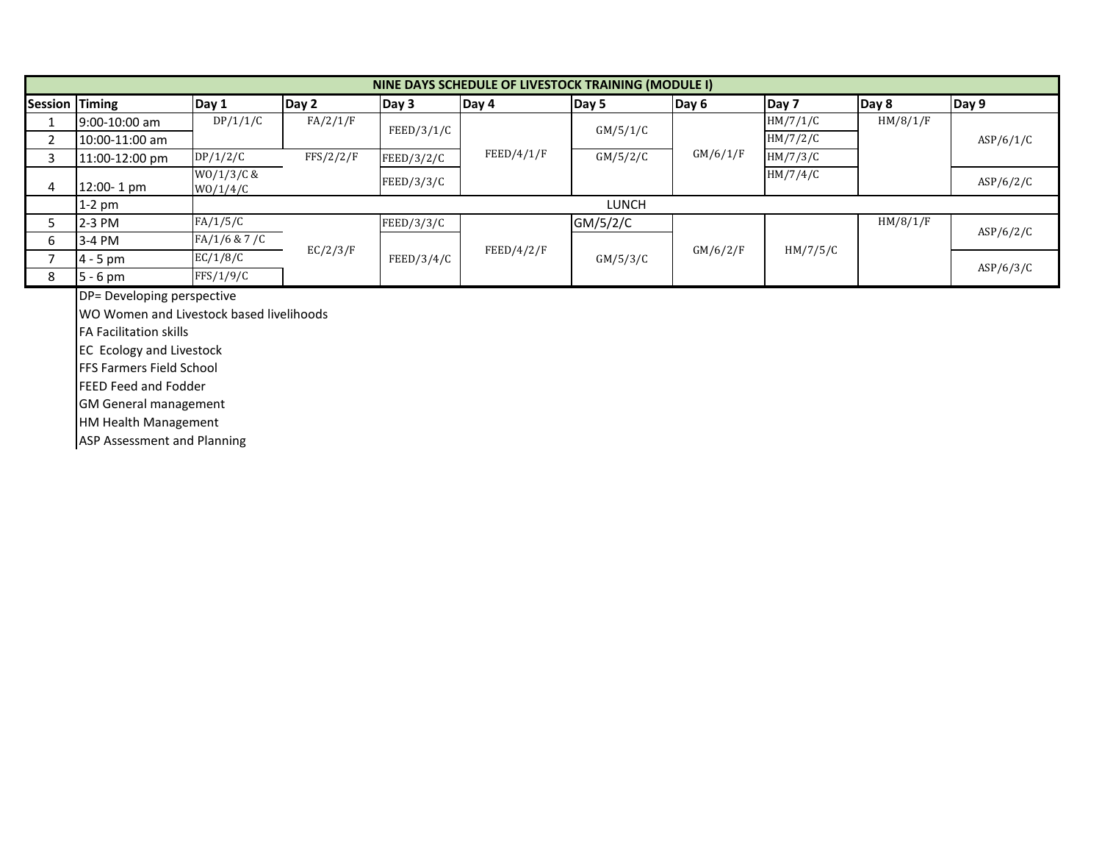|                | NINE DAYS SCHEDULE OF LIVESTOCK TRAINING (MODULE I) |                        |           |            |            |              |          |          |          |           |  |  |  |  |
|----------------|-----------------------------------------------------|------------------------|-----------|------------|------------|--------------|----------|----------|----------|-----------|--|--|--|--|
| Session Timing |                                                     | Day 1                  | Day 2     | Day 3      | Day 4      | Day 5        | Day 6    | Day 7    | Day 8    | Day 9     |  |  |  |  |
|                | 9:00-10:00 am                                       | DP/1/1/C               | FA/2/1/F  |            |            |              |          | HM/7/1/C | HM/8/1/F |           |  |  |  |  |
|                | 10:00-11:00 am                                      |                        |           | FEED/3/1/C |            | GM/5/1/C     |          | HM/7/2/C |          | ASP/6/1/C |  |  |  |  |
|                | 11:00-12:00 pm                                      | DP/1/2/C               | FFS/2/2/F | FEED/3/2/C | FEED/4/1/F | GM/5/2/C     | GM/6/1/F | HM/7/3/C |          |           |  |  |  |  |
| 4              | 12:00-1 pm                                          | WO/1/3/C &<br>W0/1/4/C |           | FEED/3/3/C |            |              |          | HM/7/4/C |          | ASP/6/2/C |  |  |  |  |
|                | $1-2$ pm                                            |                        |           |            |            | <b>LUNCH</b> |          |          |          |           |  |  |  |  |
|                | 2-3 PM                                              | FA/1/5/C               |           | FEED/3/3/C |            | GM/5/2/C     |          |          | HM/8/1/F |           |  |  |  |  |
| 6              | 3-4 PM                                              | FA/1/6 & 7/C           |           |            |            |              |          |          |          | ASP/6/2/C |  |  |  |  |
|                | $4 - 5$ pm                                          | EC/1/8/C               | EC/2/3/F  | FEED/3/4/C | FEED/4/2/F | GM/5/3/C     | GM/6/2/F | HM/7/5/C |          |           |  |  |  |  |
| 8              | $5 - 6$ pm                                          | FFS/1/9/C              |           |            |            |              |          |          |          | ASP/6/3/C |  |  |  |  |

DP= Developing perspective

WO Women and Livestock based livelihoods

FA Facilitation skills

EC Ecology and Livestock

FFS Farmers Field School

FEED Feed and Fodder

GM General management

HM Health Management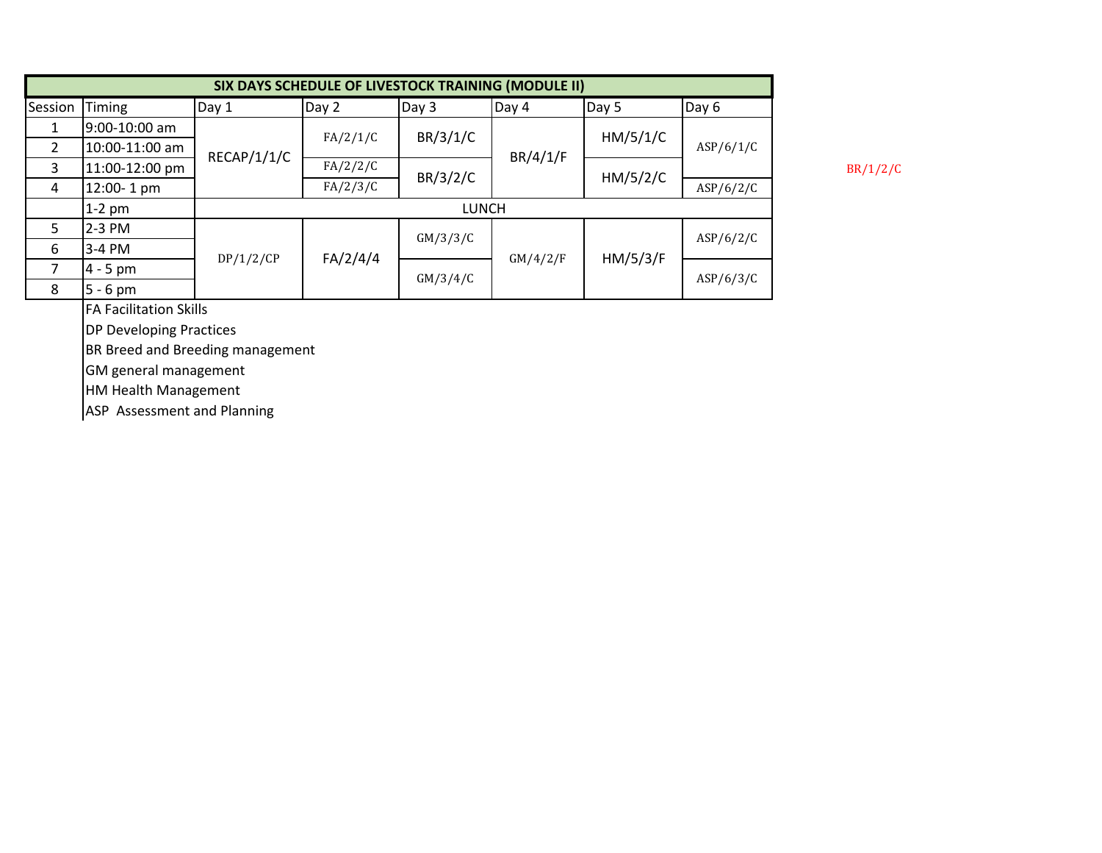|                |                |             | SIX DAYS SCHEDULE OF LIVESTOCK TRAINING (MODULE II) |              |          |          |           |
|----------------|----------------|-------------|-----------------------------------------------------|--------------|----------|----------|-----------|
| Session        | Timing         | Day 1       | Day 2                                               | Day 3        | Day 4    | Day 5    | Day 6     |
|                | 9:00-10:00 am  |             | FA/2/1/C                                            | BR/3/1/C     |          | HM/5/1/C |           |
| $\overline{2}$ | 10:00-11:00 am | RECAP/1/1/C |                                                     |              | BR/4/1/F |          | ASP/6/1/C |
| 3              | 11:00-12:00 pm |             | FA/2/2/C                                            | BR/3/2/C     |          | HM/5/2/C |           |
| 4              | 12:00-1 pm     |             | FA/2/3/C                                            |              |          |          | ASP/6/2/C |
|                | $1-2$ pm       |             |                                                     | <b>LUNCH</b> |          |          |           |
| 5.             | 2-3 PM         |             |                                                     | GM/3/3/C     |          |          | ASP/6/2/C |
| 6              | 3-4 PM         | DP/1/2/CP   | FA/2/4/4                                            |              | GM/4/2/F | HM/5/3/F |           |
|                | $4 - 5$ pm     |             |                                                     | GM/3/4/C     |          |          | ASP/6/3/C |
| 8              | $5 - 6$ pm     |             |                                                     |              |          |          |           |

FA Facilitation Skills

DP Developing Practices

BR Breed and Breeding management

GM general management

HM Health Management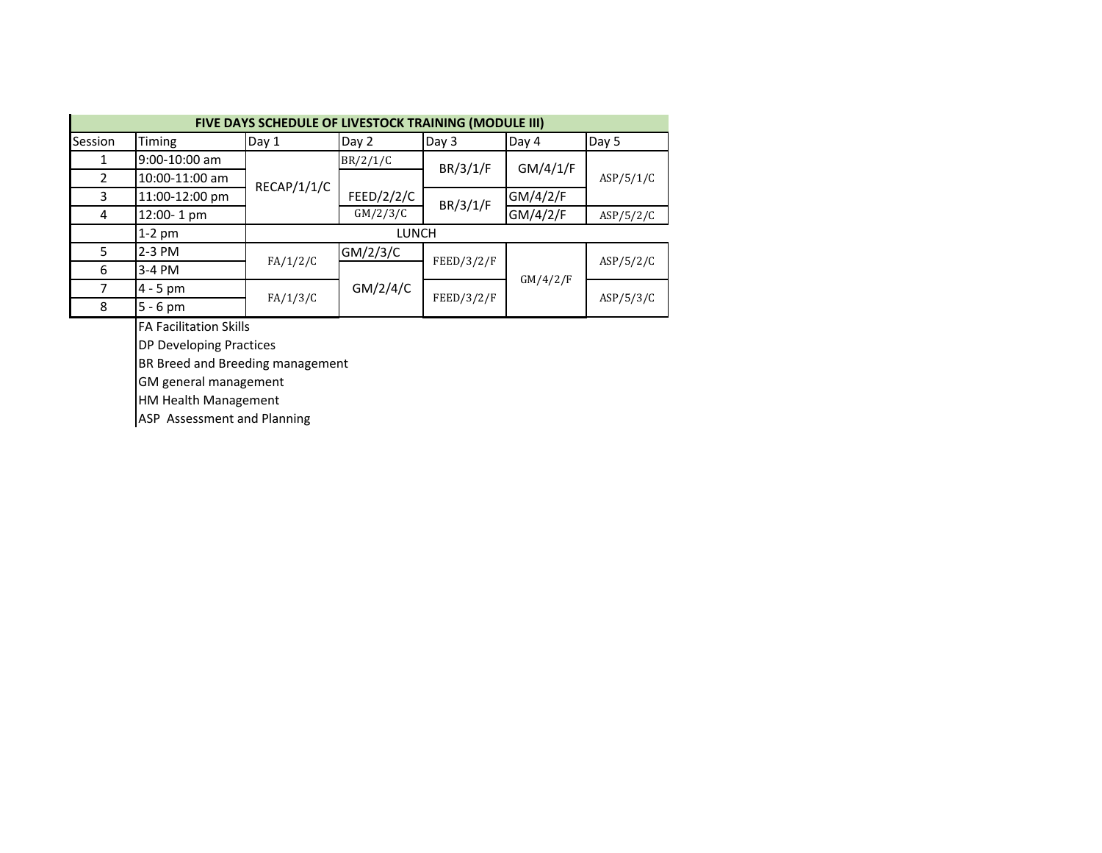|         | FIVE DAYS SCHEDULE OF LIVESTOCK TRAINING (MODULE III) |             |              |            |          |           |  |  |  |  |  |  |  |  |
|---------|-------------------------------------------------------|-------------|--------------|------------|----------|-----------|--|--|--|--|--|--|--|--|
| Session | Timing                                                | Day 1       | Day 2        | Day 3      | Day 4    | Day 5     |  |  |  |  |  |  |  |  |
| 1       | 9:00-10:00 am                                         |             | BR/2/1/C     | BR/3/1/F   | GM/4/1/F | ASP/5/1/C |  |  |  |  |  |  |  |  |
| 2       | 10:00-11:00 am                                        | RECAP/1/1/C |              |            |          |           |  |  |  |  |  |  |  |  |
| 3       | 11:00-12:00 pm                                        |             | FEED/2/2/C   | BR/3/1/F   | GM/4/2/F |           |  |  |  |  |  |  |  |  |
| 4       | 12:00-1 pm                                            |             | GM/2/3/C     |            | GM/4/2/F | ASP/5/2/C |  |  |  |  |  |  |  |  |
|         | $1-2$ pm                                              |             | <b>LUNCH</b> |            |          |           |  |  |  |  |  |  |  |  |
| 5       | 2-3 PM                                                | FA/1/2/C    | GM/2/3/C     | FEED/3/2/F |          |           |  |  |  |  |  |  |  |  |
| 6       | 3-4 PM                                                |             |              |            |          | ASP/5/2/C |  |  |  |  |  |  |  |  |
| 7       | $4 - 5$ pm                                            |             | GM/2/4/C     |            | GM/4/2/F |           |  |  |  |  |  |  |  |  |
| 8       | $5 - 6$ pm                                            | FA/1/3/C    |              | FEED/3/2/F |          | ASP/5/3/C |  |  |  |  |  |  |  |  |

FA Facilitation Skills

DP Developing Practices

BR Breed and Breeding management

GM general management

HM Health Management